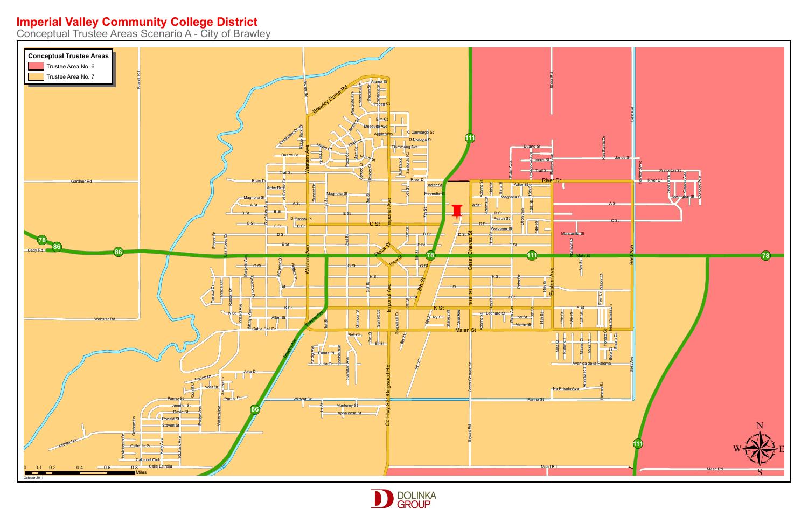## **Imperial Valley Community College District**<br>Conceptual Trustee Areas Scenario A - City of Brawley



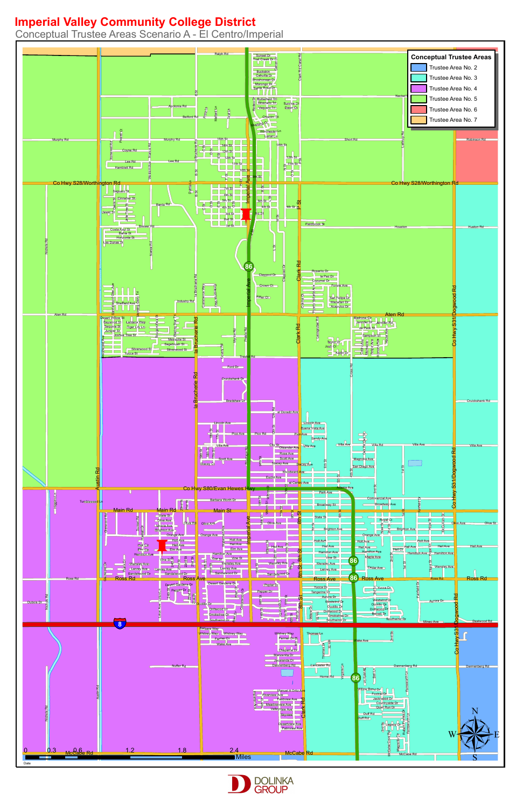



Conceptual Trustee Areas Scenario A - El Centro/Imperial

## **Imperial Valley Community College District**